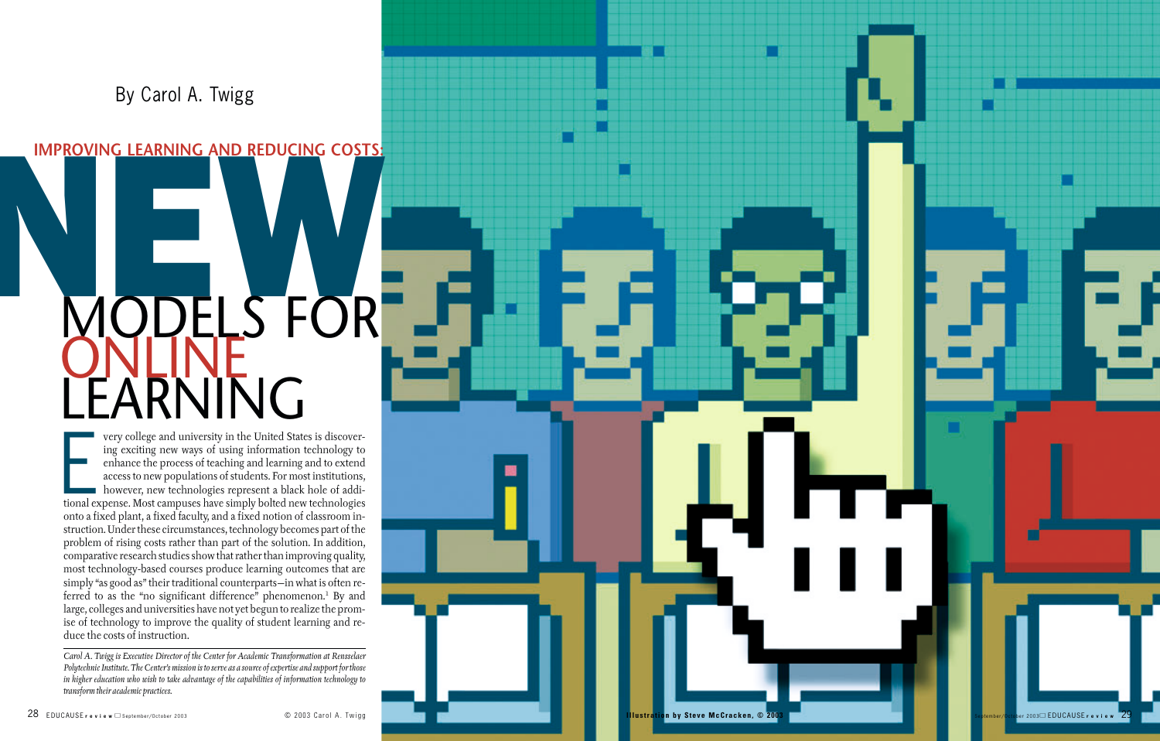



# **IMPROVING LEARNING AND REDUCING COSTS:**

# MODELS FOR **MODELS FOR**

Figure 2 and university in the officed states is discovering exciting new ways of using information technology to enhance the process of teaching and learning and to extend access to new populations of students. For most i very college and university in the United States is discovering exciting new ways of using information technology to enhance the process of teaching and learning and to extend access to new populations of students. For most institutions, however, new technologies represent a black hole of addionto a fixed plant, a fixed faculty, and a fixed notion of classroom in struction. Under these circumstances, technology becomes part of the problem of rising costs rather than part of the solution. In addition, comparative research studies show that rather than improving quality, most technology-based courses produce learning outcomes that are simply "as good as" their traditional counterparts—in what is often referred to as the "no significant difference" phenomenon.<sup>1</sup> By and large, colleges and universities have not yet begun to realize the promise of technology to improve the quality of student learning and reduce the costs of instruction.

*Ca rol A. Twigg is Executive Director of the Center for Academic Transformation at Rensselaer Polytechnic Institute. The Center's mission is to serve as a source of expertise and support for those in higher education who wish to take advantage of the capabilities of information technology to transform their academic practices.*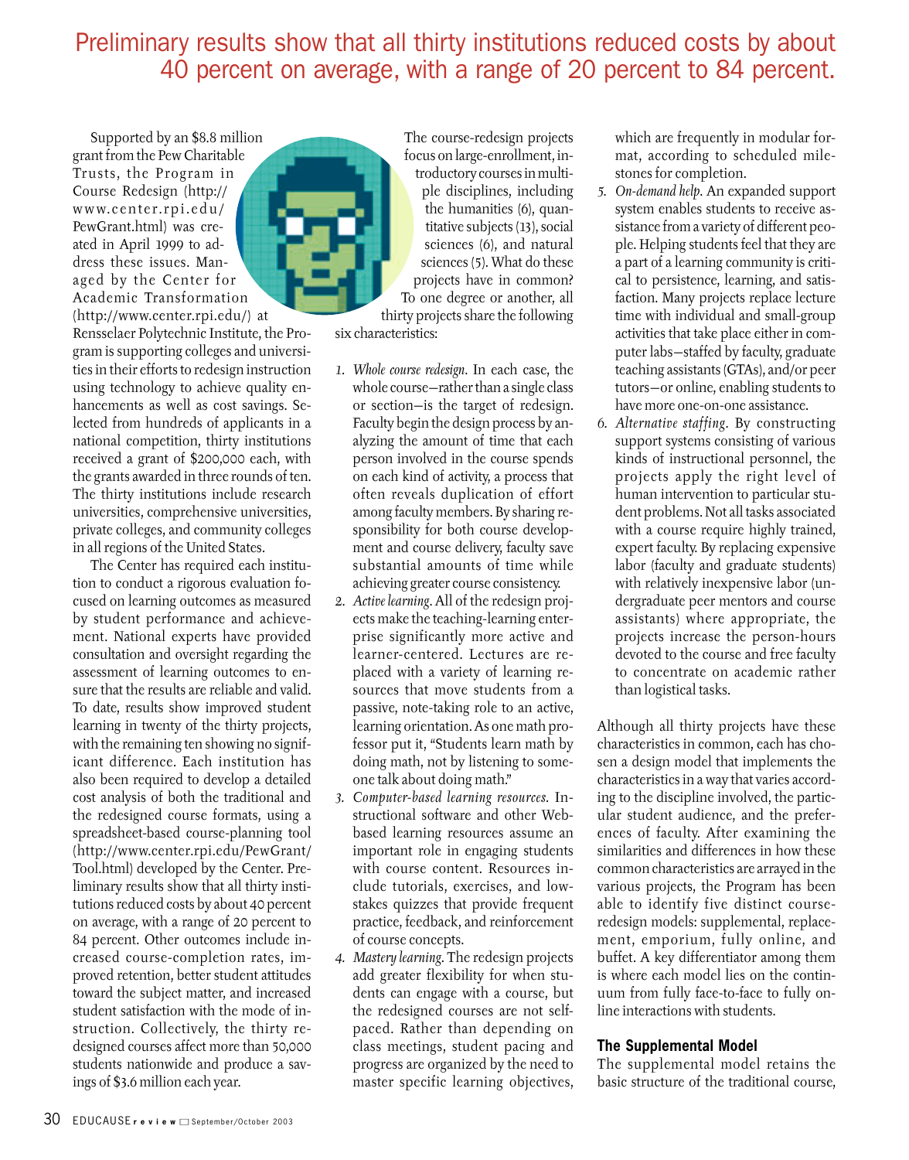# Preliminary results show that all thirty institutions reduced costs by about 40 percent on average, with a range of 20 percent to 84 percent.

Supported by an \$8.8 million grant from the Pew Charitable Trusts, the Program in Course Redesign (http:// www.center.rpi.edu/ PewGrant.html) was created in April 1999 to address these issues. Managed by the Center for Academic Transformation (http://www.center.rpi.edu/) at

Rensselaer Polytechnic Institute, the Program is supporting colleges and universities in their efforts to redesign instruction using technology to achieve quality enhancements as well as cost savings. Selected from hundreds of applicants in a national competition, thirty institutions received a grant of \$200,000 each, with the grants awarded in three rounds of ten. The thirty institutions include research universities, comprehensive universities, private colleges, and community colleges in all regions of the United States.

The Center has required each institution to conduct a rigorous evaluation focused on learning outcomes as measured by student performance and achievement. National experts have provided consultation and oversight regarding the assessment of learning outcomes to ensure that the results are reliable and valid. To date, results show improved student learning in twenty of the thirty projects, with the remaining ten showing no significant difference. Each institution has also been required to develop a detailed cost analysis of both the traditional and the redesigned course formats, using a spreadsheet-based course-planning tool (http://www.center.rpi.edu/PewGrant/ Tool.html) developed by the Center. Preliminary results show that all thirty institutions reduced costs by about 40 percent on average, with a range of 20 percent to 84 percent. Other outcomes include increased course-completion rates, improved retention, better student attitudes toward the subject matter, and increased student satisfaction with the mode of instruction. Collectively, the thirty redesigned courses affect more than 50,000 students nationwide and produce a savings of \$3.6 million each year.



The course-redesign projects focus on large-enrollment, introductory courses in multiple disciplines, including the humanities (6), quantitative subjects (13), social sciences (6), and natural sciences (5). What do these projects have in common? To one degree or another, all thirty projects share the following

six characteristics:

- *1. Whole course redesign*. In each case, the whole course—rather than a single class or section—is the target of redesign. Faculty begin the design process by analyzing the amount of time that each person involved in the course spends on each kind of activity, a process that often reveals duplication of effort among faculty members. By sharing responsibility for both course development and course delivery, faculty save substantial amounts of time while achieving greater course consistency.
- *2. Active learning*. All of the redesign projects make the teaching-learning enterprise significantly more active and learner-centered. Lectures are replaced with a variety of learning resources that move students from a passive, note-taking role to an active, learning orientation. As one math professor put it, "Students learn math by doing math, not by listening to someone talk about doing math."
- *3. Computer-based learning resources.* Instructional software and other Webbased learning resources assume an important role in engaging students with course content. Resources include tutorials, exercises, and lowstakes quizzes that provide frequent practice, feedback, and reinforcement of course concepts.
- *4. Mastery learning*. The redesign projects add greater flexibility for when students can engage with a course, but the redesigned courses are not selfpaced. Rather than depending on class meetings, student pacing and progress are organized by the need to master specific learning objectives,

which are frequently in modular format, according to scheduled milestones for completion.

- *5. On-demand help*. An expanded support system enables students to receive assistance from a variety of different people. Helping students feel that they are a part of a learning community is critical to persistence, learning, and satisfaction. Many projects replace lecture time with individual and small-group activities that take place either in computer labs—staffed by faculty, graduate teaching assistants (GTAs), and/or peer tutors—or online, enabling students to have more one-on-one assistance.
- *6. Alternative staffing*. By constructing support systems consisting of various kinds of instructional personnel, the projects apply the right level of human intervention to particular student problems. Not all tasks associated with a course require highly trained, expert faculty. By replacing expensive labor (faculty and graduate students) with relatively inexpensive labor (undergraduate peer mentors and course assistants) where appropriate, the projects increase the person-hours devoted to the course and free faculty to concentrate on academic rather than logistical tasks.

Although all thirty projects have these characteristics in common, each has chosen a design model that implements the characteristics in a way that varies according to the discipline involved, the particular student audience, and the preferences of faculty. After examining the similarities and differences in how these common characteristics are arrayed in the various projects, the Program has been able to identify five distinct courseredesign models: supplemental, replacement, emporium, fully online, and buffet. A key differentiator among them is where each model lies on the continuum from fully face-to-face to fully online interactions with students.

### **The Supplemental Model**

The supplemental model retains the basic structure of the traditional course,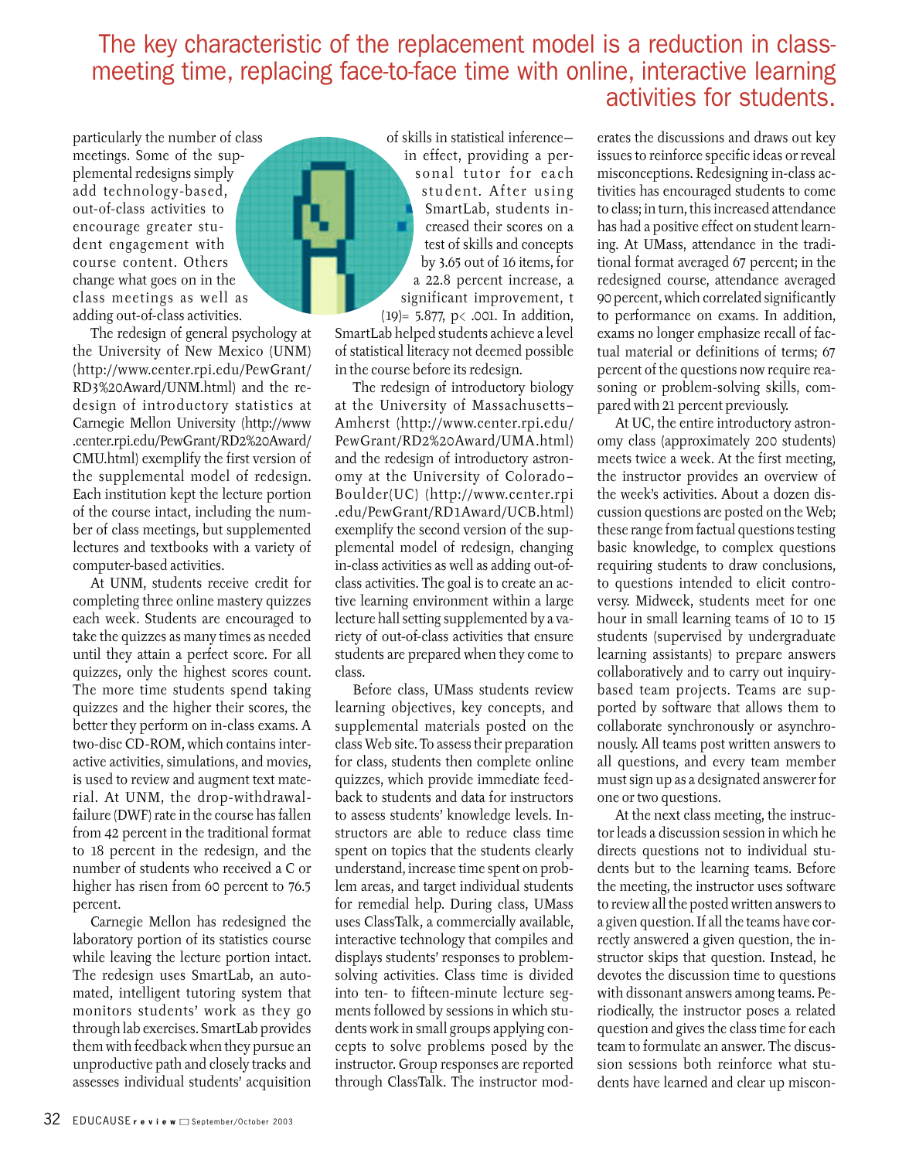## The key characteristic of the replacement model is a reduction in classmeeting time, replacing face-to-face time with online, interactive learning activities for students.

particularly the number of class meetings. Some of the supplemental redesigns simply add technology-based, out-of-class activities to encourage greater student engagement with course content. Others change what goes on in the class meetings as well as adding out-of-class activities.

The redesign of general psychology at the University of New Mexico (UNM) (http://www.center.rpi.edu/PewGrant/ RD3%20Award/UNM.html) and the redesign of introductory statistics at Carnegie Mellon University (http://www .center.rpi.edu/PewGrant/RD2%20Award/ CMU.html) exemplify the first version of the supplemental model of redesign. Each institution kept the lecture portion of the course intact, including the number of class meetings, but supplemented lectures and textbooks with a variety of computer-based activities.

At UNM, students receive credit for completing three online mastery quizzes each week. Students are encouraged to take the quizzes as many times as needed until they attain a perfect score. For all quizzes, only the highest scores count. The more time students spend taking quizzes and the higher their scores, the better they perform on in-class exams. A two-disc CD-ROM, which contains interactive activities, simulations, and movies, is used to review and augment text material. At UNM, the drop-withdrawalfailure (DWF) rate in the course has fallen from 42 percent in the traditional format to 18 percent in the redesign, and the number of students who received a C or higher has risen from 60 percent to 76.5 percent.

Carnegie Mellon has redesigned the laboratory portion of its statistics course while leaving the lecture portion intact. The redesign uses SmartLab, an automated, intelligent tutoring system that monitors students' work as they go through lab exercises. SmartLab provides them with feedback when they pursue an unproductive path and closely tracks and assesses individual students' acquisition



in effect, providing a personal tutor for each s tudent*.* After using SmartLab, students increased their scores on a test of skills and concepts by 3.65 out of 16 items, for a 22.8 percent increase, a significant improvement, t (19)= 5.877, p< .001. In addition,

SmartLab helped students achieve a level of statistical literacy not deemed possible in the course before its redesign.

The redesign of introductory biology at the University of Massachusetts– Amherst (http://www.center.rpi.edu/ PewGrant/RD2%20Award/UMA.html) and the redesign of introductory astronomy at the University of Colorado– Boulder(UC) (http://www.center.rpi .edu/PewGrant/RD1Award/UCB.html) exemplify the second version of the supplemental model of redesign, changing in-class activities as well as adding out-ofclass activities. The goal is to create an active learning environment within a large lecture hall setting supplemented by a variety of out-of-class activities that ensure students are prepared when they come to class.

Before class, UMass students review learning objectives, key concepts, and supplemental materials posted on the class Web site. To assess their preparation for class, students then complete online quizzes, which provide immediate feedback to students and data for instructors to assess students' knowledge levels. Instructors are able to reduce class time spent on topics that the students clearly understand, increase time spent on problem areas, and target individual students for remedial help. During class, UMass uses ClassTalk, a commercially available, interactive technology that compiles and displays students' responses to problemsolving activities. Class time is divided into ten- to fifteen-minute lecture segments followed by sessions in which students work in small groups applying concepts to solve problems posed by the instructor. Group responses are reported through ClassTalk. The instructor moderates the discussions and draws out key issues to reinforce specific ideas or reveal misconceptions. Redesigning in-class activities has encouraged students to come to class; in turn, this increased attendance has had a positive effect on student learning. At UMass, attendance in the traditional format averaged 67 percent; in the redesigned course, attendance averaged 90 percent, which correlated significantly to performance on exams. In addition, exams no longer emphasize recall of factual material or definitions of terms; 67 percent of the questions now require reasoning or problem-solving skills, compared with 21 percent previously.

At UC, the entire introductory astronomy class (approximately 200 students) meets twice a week. At the first meeting, the instructor provides an overview of the week's activities. About a dozen discussion questions are posted on the Web; these range from factual questions testing basic knowledge, to complex questions requiring students to draw conclusions, to questions intended to elicit controversy. Midweek, students meet for one hour in small learning teams of 10 to 15 students (supervised by undergraduate learning assistants) to prepare answers collaboratively and to carry out inquirybased team projects. Teams are supported by software that allows them to collaborate synchronously or asynchronously. All teams post written answers to all questions, and every team member must sign up as a designated answerer for one or two questions.

At the next class meeting, the instructor leads a discussion session in which he directs questions not to individual students but to the learning teams. Before the meeting, the instructor uses software to review all the posted written answers to a given question. If all the teams have correctly answered a given question, the instructor skips that question. Instead, he devotes the discussion time to questions with dissonant answers among teams. Periodically, the instructor poses a related question and gives the class time for each team to formulate an answer. The discussion sessions both reinforce what students have learned and clear up miscon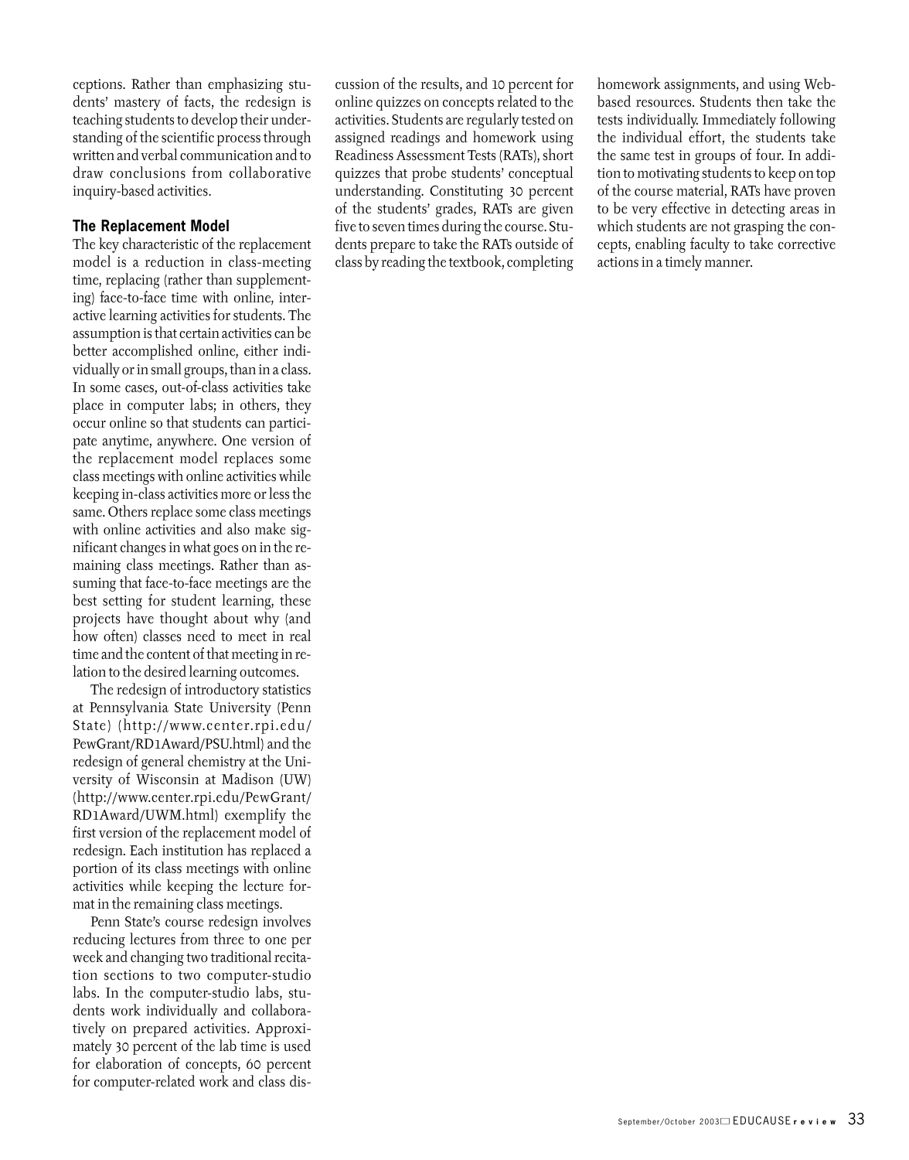ceptions. Rather than emphasizing students' mastery of facts, the redesign is teaching students to develop their understanding of the scientific process through written and verbal communication and to draw conclusions from collaborative inquiry-based activities.

### **The Replacement Model**

The key characteristic of the replacement model is a reduction in class-meeting time, replacing (rather than supplementing) face-to-face time with online, interactive learning activities for students. The assumption is that certain activities can be better accomplished online, either individually or in small groups, than in a class. In some cases, out-of-class activities take place in computer labs; in others, they occur online so that students can participate anytime, anywhere. One version of the replacement model replaces some class meetings with online activities while keeping in-class activities more or less the same. Others replace some class meetings with online activities and also make significant changes in what goes on in the remaining class meetings. Rather than assuming that face-to-face meetings are the best setting for student learning, these projects have thought about why (and how often) classes need to meet in real time and the content of that meeting in relation to the desired learning outcomes.

The redesign of introductory statistics at Pennsylvania State University (Penn State) (http://www.center.rpi.edu/ PewGrant/RD1Award/PSU.html) and the redesign of general chemistry at the University of Wisconsin at Madison (UW) (http://www.center.rpi.edu/PewGrant/ RD1Award/UWM.html) exemplify the first version of the replacement model of redesign. Each institution has replaced a portion of its class meetings with online activities while keeping the lecture format in the remaining class meetings.

Penn State's course redesign involves reducing lectures from three to one per week and changing two traditional recitation sections to two computer-studio labs. In the computer-studio labs, students work individually and collaboratively on prepared activities. Approximately 30 percent of the lab time is used for elaboration of concepts, 60 percent for computer-related work and class discussion of the results, and 10 percent for online quizzes on concepts related to the activities. Students are regularly tested on assigned readings and homework using Readiness Assessment Tests (RATs), short quizzes that probe students' conceptual understanding. Constituting 30 percent of the students' grades, RATs are given five to seven times during the course. Students prepare to take the RATs outside of class by reading the textbook, completing

homework assignments, and using Webbased resources. Students then take the tests individually. Immediately following the individual effort, the students take the same test in groups of four. In addition to motivating students to keep on top of the course material, RATs have proven to be very effective in detecting areas in which students are not grasping the concepts, enabling faculty to take corrective actions in a timely manner.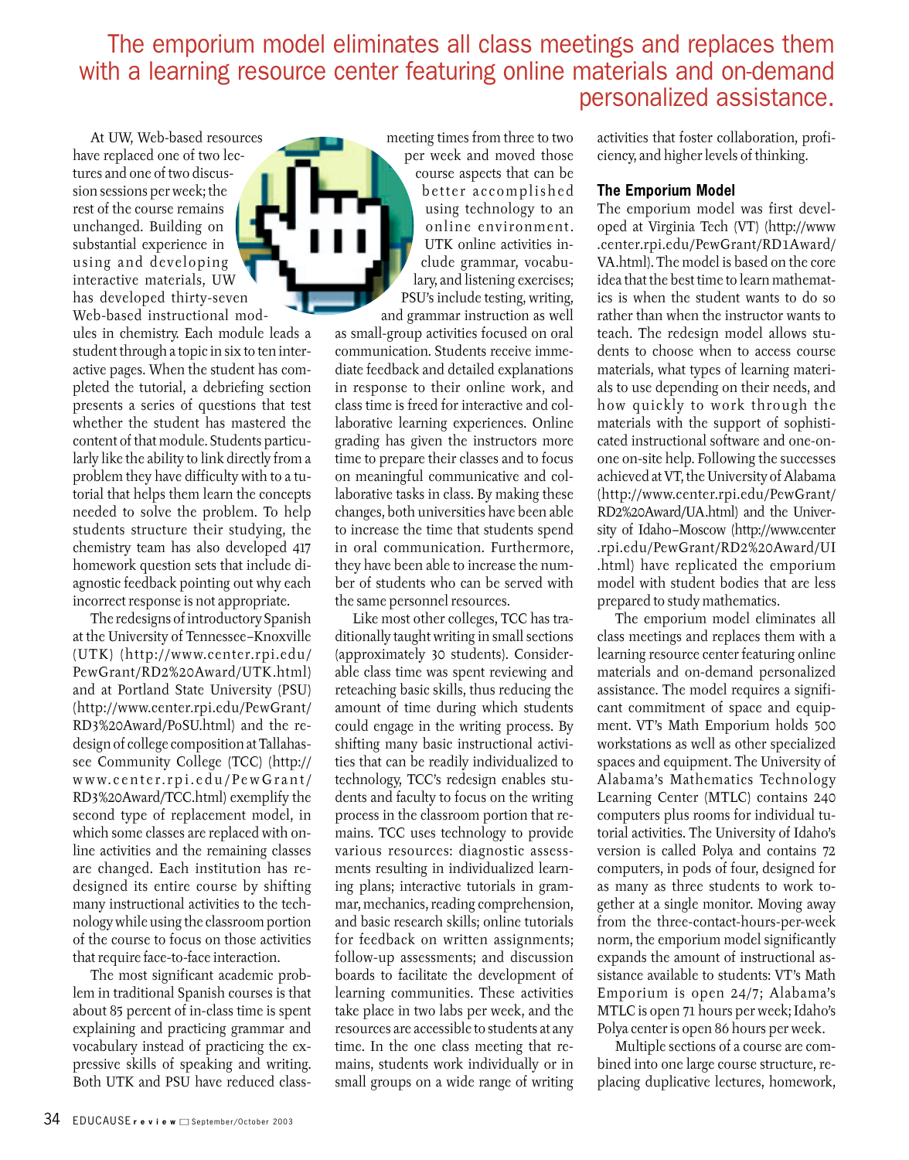# The emporium model eliminates all class meetings and replaces them with a learning resource center featuring online materials and on-demand personalized assistance.

At UW, Web-based resources have replaced one of two lectures and one of two discussion sessions per week; the rest of the course remains unchanged. Building on substantial experience in using and developing interactive materials, UW has developed thirty-seven Web-based instructional modules in chemistry. Each module leads a student through a topic in six to ten inter-

active pages. When the student has completed the tutorial, a debriefing section presents a series of questions that test whether the student has mastered the content of that module. Students particularly like the ability to link directly from a problem they have difficulty with to a tutorial that helps them learn the concepts needed to solve the problem. To help students structure their studying, the chemistry team has also developed 417 homework question sets that include diagnostic feedback pointing out why each incorrect response is not appropriate.

The redesigns of introductory Spanish at the University of Tennessee–Knoxville (UTK) (http://www.center.rpi.edu/ PewGrant/RD2%20Award/UTK.html) and at Portland State University (PSU) (http://www.center.rpi.edu/PewGrant/ RD3%20Award/PoSU.html) and the redesign of college composition at Tallahassee Community College (TCC) (http:// www.center.rpi.edu/PewGrant/ RD3%20Award/TCC.html) exemplify the second type of replacement model, in which some classes are replaced with online activities and the remaining classes are changed. Each institution has redesigned its entire course by shifting many instructional activities to the technology while using the classroom portion of the course to focus on those activities that require face-to-face interaction.

The most significant academic problem in traditional Spanish courses is that about 85 percent of in-class time is spent explaining and practicing grammar and vocabulary instead of practicing the expressive skills of speaking and writing. Both UTK and PSU have reduced class-

meeting times from three to two per week and moved those course aspects that can be better accomplished using technology to an online environment. UTK online activities include grammar, vocabulary, and listening exercises; PSU's include testing, writing, and grammar instruction as well

as small-group activities focused on oral communication. Students receive immediate feedback and detailed explanations in response to their online work, and class time is freed for interactive and collaborative learning experiences. Online grading has given the instructors more time to prepare their classes and to focus on meaningful communicative and collaborative tasks in class. By making these changes, both universities have been able to increase the time that students spend in oral communication. Furthermore, they have been able to increase the number of students who can be served with the same personnel resources.

Like most other colleges, TCC has traditionally taught writing in small sections (approximately 30 students). Considerable class time was spent reviewing and reteaching basic skills, thus reducing the amount of time during which students could engage in the writing process. By shifting many basic instructional activities that can be readily individualized to technology, TCC's redesign enables students and faculty to focus on the writing process in the classroom portion that remains. TCC uses technology to provide various resources: diagnostic assessments resulting in individualized learning plans; interactive tutorials in grammar, mechanics, reading comprehension, and basic research skills; online tutorials for feedback on written assignments; follow-up assessments; and discussion boards to facilitate the development of learning communities. These activities take place in two labs per week, and the resources are accessible to students at any time. In the one class meeting that remains, students work individually or in small groups on a wide range of writing activities that foster collaboration, proficiency, and higher levels of thinking.

### **The Emporium Model**

The emporium model was first developed at Virginia Tech (VT) (http://www .center.rpi.edu/PewGrant/RD1Award/ VA.html). The model is based on the core idea that the best time to learn mathematics is when the student wants to do so rather than when the instructor wants to teach. The redesign model allows students to choose when to access course materials, what types of learning materials to use depending on their needs, and how quickly to work through the materials with the support of sophisticated instructional software and one-onone on-site help. Following the successes achieved at VT, the University of Alabama (http://www.center.rpi.edu/PewGrant/ RD2%20Award/UA.html) and the University of Idaho–Moscow (http://www.center .rpi.edu/PewGrant/RD2%20Award/UI .html) have replicated the emporium model with student bodies that are less prepared to study mathematics.

The emporium model eliminates all class meetings and replaces them with a learning resource center featuring online materials and on-demand personalized assistance. The model requires a significant commitment of space and equipment. VT's Math Emporium holds 500 workstations as well as other specialized spaces and equipment. The University of Alabama's Mathematics Technology Learning Center (MTLC) contains 240 computers plus rooms for individual tutorial activities. The University of Idaho's version is called Polya and contains 72 computers, in pods of four, designed for as many as three students to work together at a single monitor. Moving away from the three-contact-hours-per-week norm, the emporium model significantly expands the amount of instructional assistance available to students: VT's Math Emporium is open 24/7; Alabama's MTLC is open 71 hours per week; Idaho's Polya center is open 86 hours per week.

Multiple sections of a course are combined into one large course structure, replacing duplicative lectures, homework,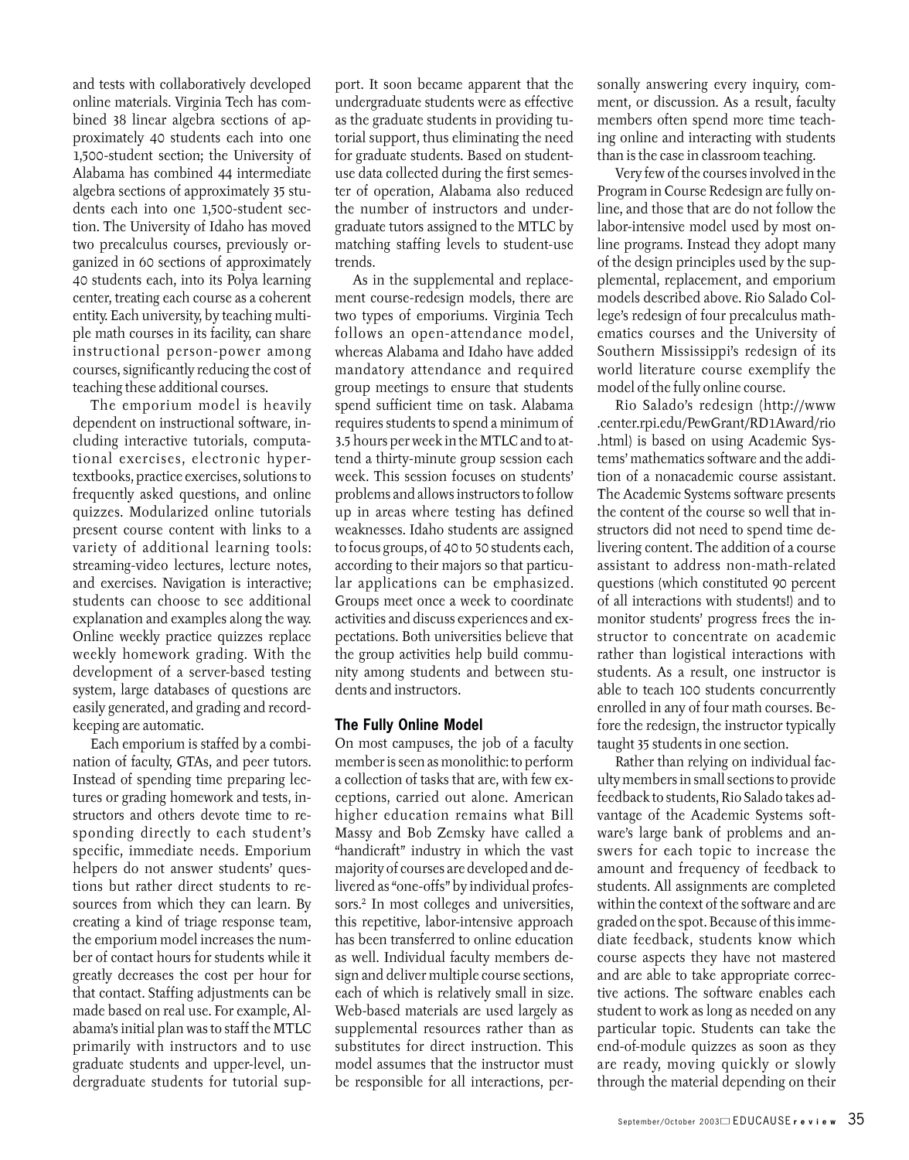and tests with collaboratively developed online materials. Virginia Tech has combined 38 linear algebra sections of approximately 40 students each into one 1,500-student section; the University of Alabama has combined 44 intermediate algebra sections of approximately 35 students each into one 1,500-student section. The University of Idaho has moved two precalculus courses, previously organized in 60 sections of approximately 40 students each, into its Polya learning center, treating each course as a coherent entity. Each university, by teaching multiple math courses in its facility, can share instructional person-power among courses, significantly reducing the cost of teaching these additional courses.

The emporium model is heavily dependent on instructional software, including interactive tutorials, computational exercises, electronic hypertextbooks, practice exercises, solutions to frequently asked questions, and online quizzes. Modularized online tutorials present course content with links to a variety of additional learning tools: streaming-video lectures, lecture notes, and exercises. Navigation is interactive; students can choose to see additional explanation and examples along the way. Online weekly practice quizzes replace weekly homework grading. With the development of a server-based testing system, large databases of questions are easily generated, and grading and recordkeeping are automatic.

Each emporium is staffed by a combination of faculty, GTAs, and peer tutors. Instead of spending time preparing lectures or grading homework and tests, instructors and others devote time to responding directly to each student's specific, immediate needs. Emporium helpers do not answer students' questions but rather direct students to resources from which they can learn. By creating a kind of triage response team, the emporium model increases the number of contact hours for students while it greatly decreases the cost per hour for that contact. Staffing adjustments can be made based on real use. For example, Alabama's initial plan was to staff the MTLC primarily with instructors and to use graduate students and upper-level, undergraduate students for tutorial sup-

port. It soon became apparent that the undergraduate students were as effective as the graduate students in providing tutorial support, thus eliminating the need for graduate students. Based on studentuse data collected during the first semester of operation, Alabama also reduced the number of instructors and undergraduate tutors assigned to the MTLC by matching staffing levels to student-use trends.

As in the supplemental and replacement course-redesign models, there are two types of emporiums. Virginia Tech follows an open-attendance model, whereas Alabama and Idaho have added mandatory attendance and required group meetings to ensure that students spend sufficient time on task. Alabama requires students to spend a minimum of 3.5 hours per week in the MTLC and to attend a thirty-minute group session each week. This session focuses on students' problems and allows instructors to follow up in areas where testing has defined weaknesses. Idaho students are assigned to focus groups, of 40 to 50 students each, according to their majors so that particular applications can be emphasized. Groups meet once a week to coordinate activities and discuss experiences and expectations. Both universities believe that the group activities help build community among students and between students and instructors.

### **The Fully Online Model**

On most campuses, the job of a faculty member is seen as monolithic: to perform a collection of tasks that are, with few exceptions, carried out alone. American higher education remains what Bill Massy and Bob Zemsky have called a "handicraft" industry in which the vast majority of courses are developed and delivered as "one-offs" by individual professors.2 In most colleges and universities, this repetitive, labor-intensive approach has been transferred to online education as well. Individual faculty members design and deliver multiple course sections, each of which is relatively small in size. Web-based materials are used largely as supplemental resources rather than as substitutes for direct instruction. This model assumes that the instructor must be responsible for all interactions, personally answering every inquiry, comment, or discussion. As a result, faculty members often spend more time teaching online and interacting with students than is the case in classroom teaching.

Very few of the courses involved in the Program in Course Redesign are fully online, and those that are do not follow the labor-intensive model used by most online programs. Instead they adopt many of the design principles used by the supplemental, replacement, and emporium models described above. Rio Salado College's redesign of four precalculus mathematics courses and the University of Southern Mississippi's redesign of its world literature course exemplify the model of the fully online course.

Rio Salado's redesign (http://www .center.rpi.edu/PewGrant/RD1Award/rio .html) is based on using Academic Systems' mathematics software and the addition of a nonacademic course assistant. The Academic Systems software presents the content of the course so well that instructors did not need to spend time delivering content. The addition of a course assistant to address non-math-related questions (which constituted 90 percent of all interactions with students!) and to monitor students' progress frees the instructor to concentrate on academic rather than logistical interactions with students. As a result, one instructor is able to teach 100 students concurrently enrolled in any of four math courses. Before the redesign, the instructor typically taught 35 students in one section.

Rather than relying on individual faculty members in small sections to provide feedback to students, Rio Salado takes advantage of the Academic Systems software's large bank of problems and answers for each topic to increase the amount and frequency of feedback to students. All assignments are completed within the context of the software and are graded on the spot. Because of this immediate feedback, students know which course aspects they have not mastered and are able to take appropriate corrective actions. The software enables each student to work as long as needed on any particular topic. Students can take the end-of-module quizzes as soon as they are ready, moving quickly or slowly through the material depending on their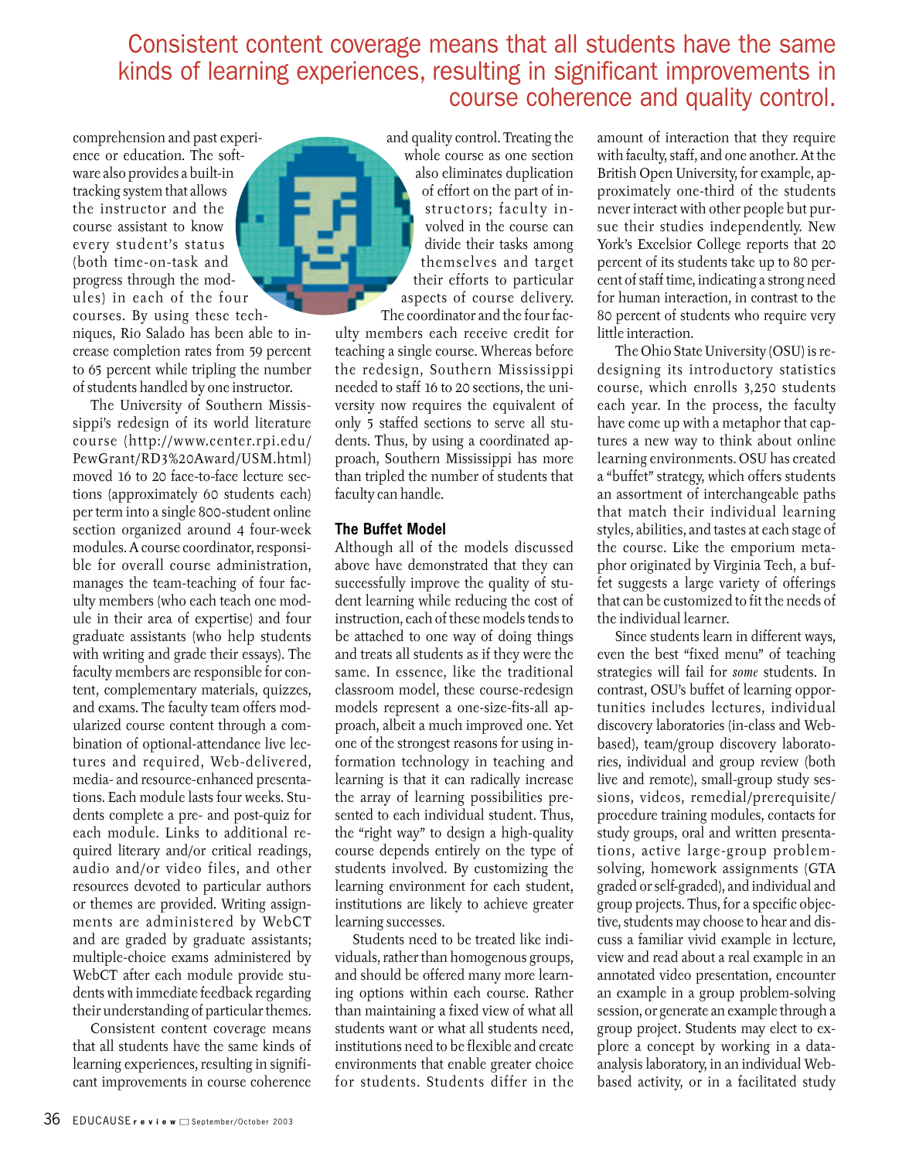# Consistent content coverage means that all students have the same kinds of learning experiences, resulting in significant improvements in course coherence and quality control.

comprehension and past experience or education. The software also provides a built-in tracking system that allows the instructor and the course assistant to know every student's status (both time-on-task and progress through the modules) in each of the four courses. By using these techniques, Rio Salado has been able to increase completion rates from 59 percent to 65 percent while tripling the number of students handled by one instructor.

The University of Southern Mississippi's redesign of its world literature course (http://www.center.rpi.edu/ PewGrant/RD3%20Award/USM.html) moved 16 to 20 face-to-face lecture sections (approximately 60 students each) per term into a single 800-student online section organized around 4 four-week modules. A course coordinator, responsible for overall course administration, manages the team-teaching of four faculty members (who each teach one module in their area of expertise) and four graduate assistants (who help students with writing and grade their essays). The faculty members are responsible for content, complementary materials, quizzes, and exams. The faculty team offers modularized course content through a combination of optional-attendance live lectures and required, Web-delivered, media- and resource-enhanced presentations. Each module lasts four weeks. Students complete a pre- and post-quiz for each module. Links to additional required literary and/or critical readings, audio and/or video files, and other resources devoted to particular authors or themes are provided. Writing assignments are administered by WebCT and are graded by graduate assistants; multiple-choice exams administered by WebCT after each module provide students with immediate feedback regarding their understanding of particular themes.

Consistent content coverage means that all students have the same kinds of learning experiences, resulting in significant improvements in course coherence

and quality control. Treating the whole course as one section also eliminates duplication of effort on the part of instructors; faculty involved in the course can divide their tasks among themselves and target their efforts to particular aspects of course delivery. The coordinator and the four fac-

ulty members each receive credit for teaching a single course. Whereas before the redesign, Southern Mississippi needed to staff 16 to 20 sections, the university now requires the equivalent of only 5 staffed sections to serve all students. Thus, by using a coordinated approach, Southern Mississippi has more than tripled the number of students that faculty can handle.

### **The Buffet Model**

Although all of the models discussed above have demonstrated that they can successfully improve the quality of student learning while reducing the cost of instruction, each of these models tends to be attached to one way of doing things and treats all students as if they were the same. In essence, like the traditional classroom model, these course-redesign models represent a one-size-fits-all approach, albeit a much improved one. Yet one of the strongest reasons for using information technology in teaching and learning is that it can radically increase the array of learning possibilities presented to each individual student. Thus, the "right way" to design a high-quality course depends entirely on the type of students involved. By customizing the learning environment for each student, institutions are likely to achieve greater learning successes.

Students need to be treated like individuals, rather than homogenous groups, and should be offered many more learning options within each course. Rather than maintaining a fixed view of what all students want or what all students need, institutions need to be flexible and create environments that enable greater choice for students. Students differ in the amount of interaction that they require with faculty, staff, and one another. At the British Open University, for example, approximately one-third of the students never interact with other people but pursue their studies independently. New York's Excelsior College reports that 20 percent of its students take up to 80 percent of staff time, indicating a strong need for human interaction, in contrast to the 80 percent of students who require very little interaction.

The Ohio State University (OSU) is redesigning its introductory statistics course, which enrolls 3,250 students each year. In the process, the faculty have come up with a metaphor that captures a new way to think about online learning environments. OSU has created a "buffet" strategy, which offers students an assortment of interchangeable paths that match their individual learning styles, abilities, and tastes at each stage of the course. Like the emporium metaphor originated by Virginia Tech, a buffet suggests a large variety of offerings that can be customized to fit the needs of the individual learner.

Since students learn in different ways, even the best "fixed menu" of teaching strategies will fail for *some* students. In contrast, OSU's buffet of learning opportunities includes lectures, individual discovery laboratories (in-class and Webbased), team/group discovery laboratories, individual and group review (both live and remote), small-group study sessions, videos, remedial/prerequisite/ procedure training modules, contacts for study groups, oral and written presentations, active large-group problemsolving, homework assignments (GTA graded or self-graded), and individual and group projects. Thus, for a specific objective, students may choose to hear and discuss a familiar vivid example in lecture, view and read about a real example in an annotated video presentation, encounter an example in a group problem-solving session, or generate an example through a group project. Students may elect to explore a concept by working in a dataanalysis laboratory, in an individual Webbased activity, or in a facilitated study